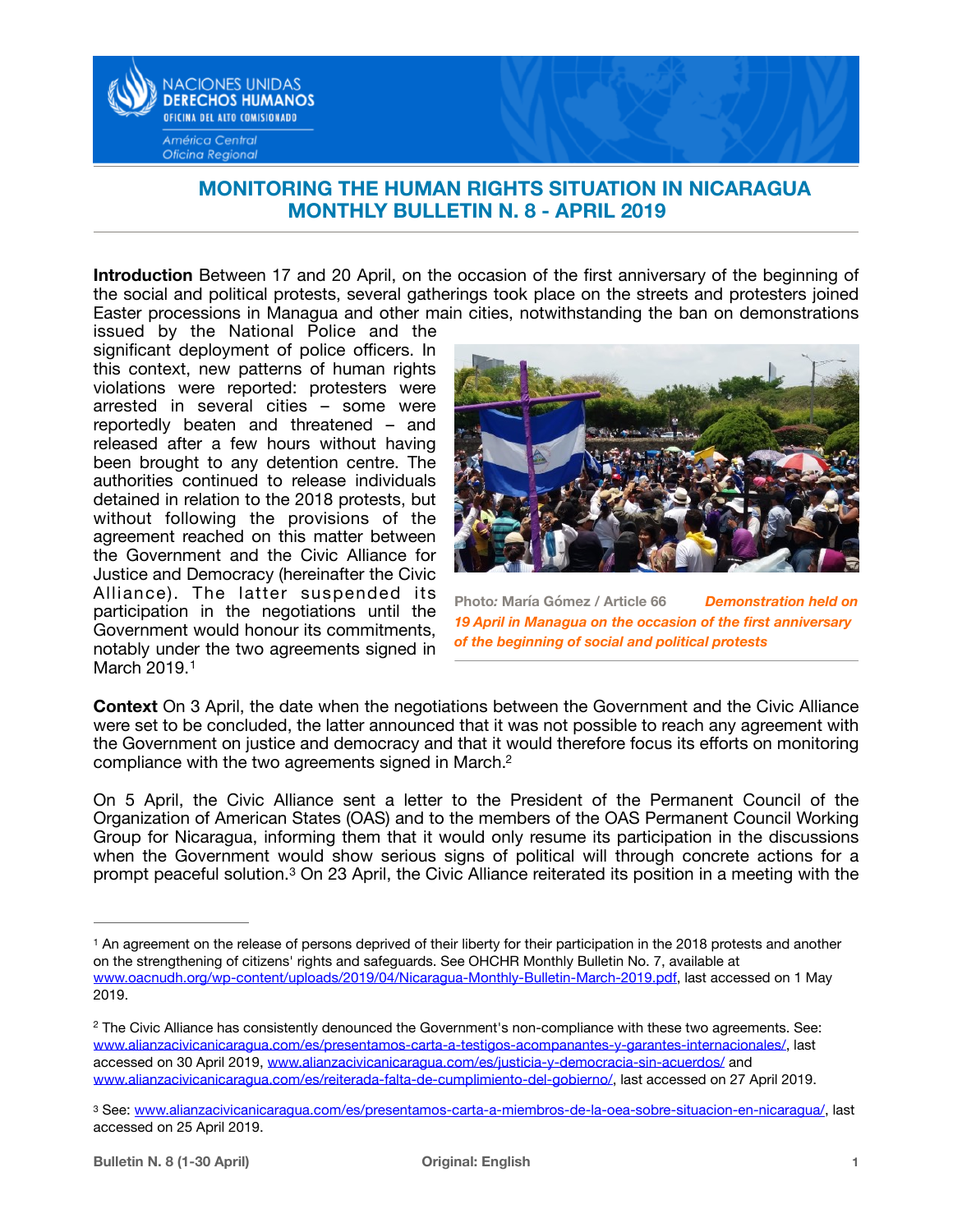

## **MONITORING THE HUMAN RIGHTS SITUATION IN NICARAGUA MONTHLY BULLETIN N. 8 - APRIL 2019**

**Introduction** Between 17 and 20 April, on the occasion of the first anniversary of the beginning of the social and political protests, several gatherings took place on the streets and protesters joined Easter processions in Managua and other main cities, notwithstanding the ban on demonstrations

issued by the National Police and the significant deployment of police officers. In this context, new patterns of human rights violations were reported: protesters were arrested in several cities – some were reportedly beaten and threatened – and released after a few hours without having been brought to any detention centre. The authorities continued to release individuals detained in relation to the 2018 protests, but without following the provisions of the agreement reached on this matter between the Government and the Civic Alliance for Justice and Democracy (hereinafter the Civic Alliance). The latter suspended its participation in the negotiations until the Government would honour its commitments, notably under the two agreements signed in March 20[1](#page-0-0)9.<sup>1</sup>



**Photo***:* **María Gómez / Article 66** *Demonstration held on 19 April in Managua on the occasion of the first anniversary of the beginning of social and political protests* 

<span id="page-0-3"></span>**Context** On 3 April, the date when the negotiations between the Government and the Civic Alliance were set to be concluded, the latter announced that it was not possible to reach any agreement with the Government on justice and democracy and that it would therefore focus its efforts on monitoring compliance with the two agreements signed in March.[2](#page-0-1)

<span id="page-0-4"></span>On 5 April, the Civic Alliance sent a letter to the President of the Permanent Council of the Organization of American States (OAS) and to the members of the OAS Permanent Council Working Group for Nicaragua, informing them that it would only resume its participation in the discussions when the Government would show serious signs of political will through concrete actions for a promptpeaceful solution.<sup>[3](#page-0-2)</sup> On 23 April, the Civic Alliance reiterated its position in a meeting with the

<span id="page-0-5"></span><span id="page-0-0"></span><sup>&</sup>lt;sup>[1](#page-0-3)</sup> An agreement on the release of persons deprived of their liberty for their participation in the 2018 protests and another on the strengthening of citizens' rights and safeguards. See OHCHR Monthly Bulletin No. 7, available at [www.oacnudh.org/wp-content/uploads/2019/04/Nicaragua-Monthly-Bulletin-March-2019.pdf,](http://www.oacnudh.org/wp-content/uploads/2019/04/Nicaragua-Monthly-Bulletin-March-2019.pdf) last accessed on 1 May 2019.

<span id="page-0-1"></span><sup>&</sup>lt;sup>[2](#page-0-4)</sup> The Civic Alliance has consistently denounced the Government's non-compliance with these two agreements. See: [www.alianzacivicanicaragua.com/es/presentamos-carta-a-testigos-acompanantes-y-garantes-internacionales/](http://www.alianzacivicanicaragua.com/es/presentamos-carta-a-testigos-acompanantes-y-garantes-internacionales/), last accessed on 30 April 2019, [www.alianzacivicanicaragua.com/es/justicia-y-democracia-sin-acuerdos/](http://www.alianzacivicanicaragua.com/es/justicia-y-democracia-sin-acuerdos/) and [www.alianzacivicanicaragua.com/es/reiterada-falta-de-cumplimiento-del-gobierno/,](http://www.alianzacivicanicaragua.com/es/reiterada-falta-de-cumplimiento-del-gobierno/) last accessed on 27 April 2019.

<span id="page-0-2"></span><sup>3</sup> See: [www.alianzacivicanicaragua.com/es/presentamos-carta-a-miembros-de-la-oea-sobre-situacion-en-nicaragua/](http://www.alianzacivicanicaragua.com/es/presentamos-carta-a-miembros-de-la-oea-sobre-situacion-en-nicaragua/), last accessed on 25 April 2019.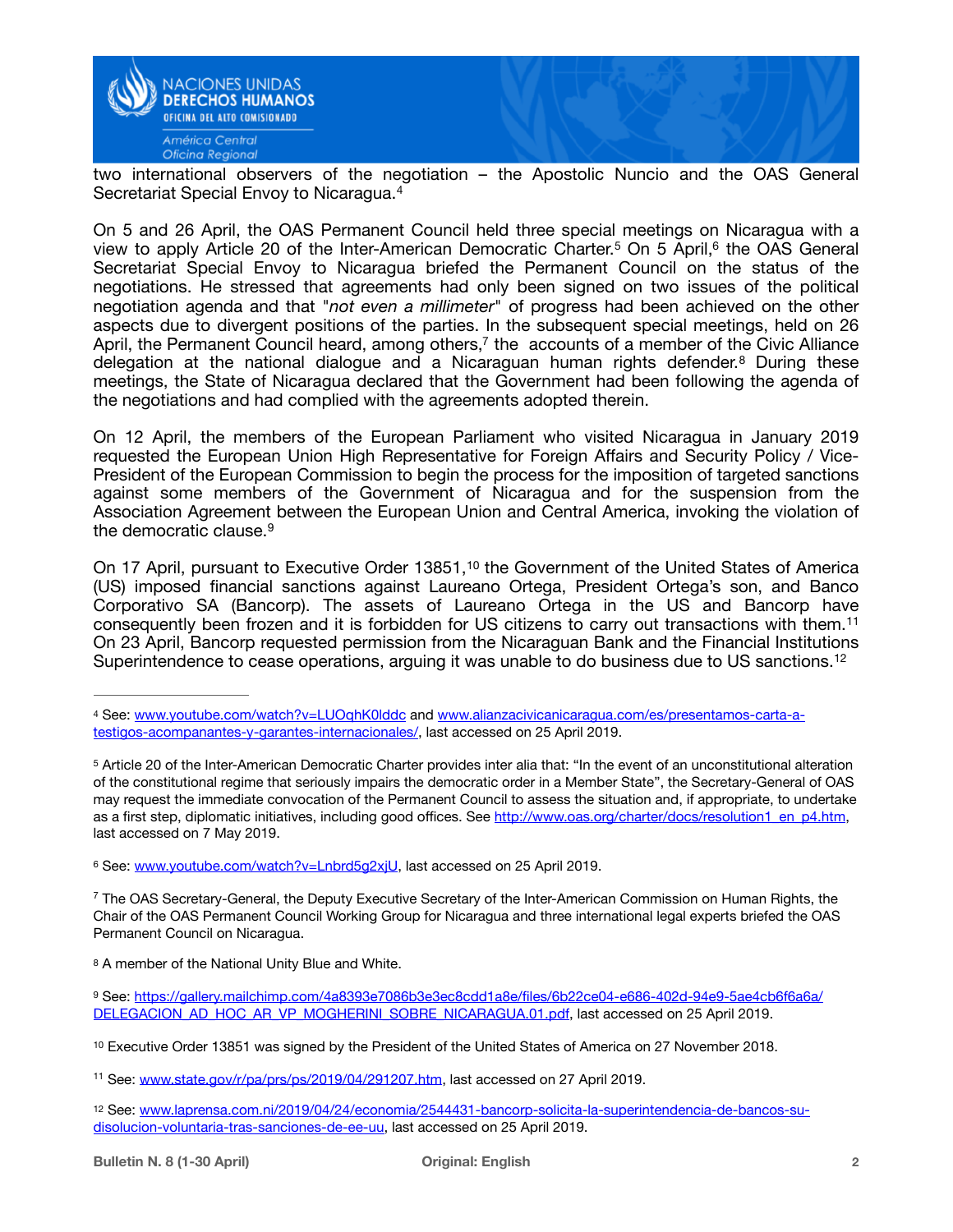

<span id="page-1-9"></span>two international observers of the negotiation – the Apostolic Nuncio and the OAS General Secretariat Special Envoy to Nicaragua.[4](#page-1-0)

<span id="page-1-11"></span><span id="page-1-10"></span>On 5 and 26 April, the OAS Permanent Council held three special meetings on Nicaragua with a viewto apply Article 20 of the Inter-American Democratic Charter.<sup>5</sup> On 5 April[,](#page-1-2)<sup>6</sup> the OAS General Secretariat Special Envoy to Nicaragua briefed the Permanent Council on the status of the negotiations. He stressed that agreements had only been signed on two issues of the political negotiation agenda and that "*not even a millimeter*" of progress had been achieved on the other aspects due to divergent positions of the parties. In the subsequent special meetings, held on 26 April[,](#page-1-3) the Permanent Council heard, among others, $<sup>7</sup>$  $<sup>7</sup>$  $<sup>7</sup>$  the accounts of a member of the Civic Alliance</sup> delegationat the national dialogue and a Nicaraguan human rights defender.<sup>[8](#page-1-4)</sup> During these meetings, the State of Nicaragua declared that the Government had been following the agenda of the negotiations and had complied with the agreements adopted therein.

<span id="page-1-13"></span><span id="page-1-12"></span>On 12 April, the members of the European Parliament who visited Nicaragua in January 2019 requested the European Union High Representative for Foreign Affairs and Security Policy / Vice-President of the European Commission to begin the process for the imposition of targeted sanctions against some members of the Government of Nicaragua and for the suspension from the Association Agreement between the European Union and Central America, invoking the violation of the democratic clause.[9](#page-1-5)

<span id="page-1-16"></span><span id="page-1-15"></span><span id="page-1-14"></span>On17 April, pursuant to Executive Order 13851,<sup>[10](#page-1-6)</sup> the Government of the United States of America (US) imposed financial sanctions against Laureano Ortega, President Ortega's son, and Banco Corporativo SA (Bancorp). The assets of Laureano Ortega in the US and Bancorp have consequently been frozen and it is forbidden for US citizens to carry out transactions with them.[11](#page-1-7) On 23 April, Bancorp requested permission from the Nicaraguan Bank and the Financial Institutions Superintendence to cease operations, arguing it was unable to do business due to US sanctions.<sup>[12](#page-1-8)</sup>

<span id="page-1-4"></span>[8](#page-1-13) A member of the National Unity Blue and White.

<span id="page-1-17"></span><span id="page-1-0"></span>See: [www.youtube.com/watch?v=LUOqhK0lddc](http://www.youtube.com/watch?v=LUOqhK0lddc) and [www.alianzacivicanicaragua.com/es/presentamos-carta-a-](http://www.alianzacivicanicaragua.com/es/presentamos-carta-a-testigos-acompanantes-y-garantes-internacionales/) [4](#page-1-9) [testigos-acompanantes-y-garantes-internacionales/,](http://www.alianzacivicanicaragua.com/es/presentamos-carta-a-testigos-acompanantes-y-garantes-internacionales/) last accessed on 25 April 2019.

<span id="page-1-1"></span>Article 20 of the Inter-American Democratic Charter provides inter alia that: "In the event of an unconstitutional alteration [5](#page-1-10) of the constitutional regime that seriously impairs the democratic order in a Member State", the Secretary-General of OAS may request the immediate convocation of the Permanent Council to assess the situation and, if appropriate, to undertake as a first step, diplomatic initiatives, including good offices. See [http://www.oas.org/charter/docs/resolution1\\_en\\_p4.htm,](http://www.oas.org/charter/docs/resolution1_en_p4.htm) last accessed on 7 May 2019.

<span id="page-1-2"></span><sup>6</sup> See: [www.youtube.com/watch?v=Lnbrd5g2xjU,](http://www.youtube.com/watch?v=Lnbrd5g2xjU) last accessed on 25 April 2019.

<span id="page-1-3"></span><sup>&</sup>lt;sup>[7](#page-1-12)</sup> The OAS Secretary-General, the Deputy Executive Secretary of the Inter-American Commission on Human Rights, the Chair of the OAS Permanent Council Working Group for Nicaragua and three international legal experts briefed the OAS Permanent Council on Nicaragua.

<span id="page-1-5"></span>See: [https://gallery.mailchimp.com/4a8393e7086b3e3ec8cdd1a8e/files/6b22ce04-e686-402d-94e9-5ae4cb6f6a6a/](https://gallery.mailchimp.com/4a8393e7086b3e3ec8cdd1a8e/files/6b22ce04-e686-402d-94e9-5ae4cb6f6a6a/DELEGACION_AD_HOC_AR_VP_MOGHERINI_SOBRE_NICARAGUA.01.pdf) [9](#page-1-14) [DELEGACION\\_AD\\_HOC\\_AR\\_VP\\_MOGHERINI\\_SOBRE\\_NICARAGUA.01.pdf, last accessed on 25 April 2019.](https://gallery.mailchimp.com/4a8393e7086b3e3ec8cdd1a8e/files/6b22ce04-e686-402d-94e9-5ae4cb6f6a6a/DELEGACION_AD_HOC_AR_VP_MOGHERINI_SOBRE_NICARAGUA.01.pdf)

<span id="page-1-6"></span><sup>&</sup>lt;sup>[10](#page-1-15)</sup> Executive Order 13851 was signed by the President of the United States of America on 27 November 2018.

<span id="page-1-7"></span><sup>&</sup>lt;sup>11</sup> See: [www.state.gov/r/pa/prs/ps/2019/04/291207.htm](http://www.state.gov/r/pa/prs/ps/2019/04/291207.htm), last accessed on 27 April 2019.

<span id="page-1-8"></span><sup>12</sup> See: [www.laprensa.com.ni/2019/04/24/economia/2544431-bancorp-solicita-la-superintendencia-de-bancos-su](http://www.laprensa.com.ni/2019/04/24/economia/2544431-bancorp-solicita-la-superintendencia-de-bancos-su-disolucion-voluntaria-tras-sanciones-de-ee-uu) [disolucion-voluntaria-tras-sanciones-de-ee-uu, last accessed on 25 April 2019.](http://www.laprensa.com.ni/2019/04/24/economia/2544431-bancorp-solicita-la-superintendencia-de-bancos-su-disolucion-voluntaria-tras-sanciones-de-ee-uu)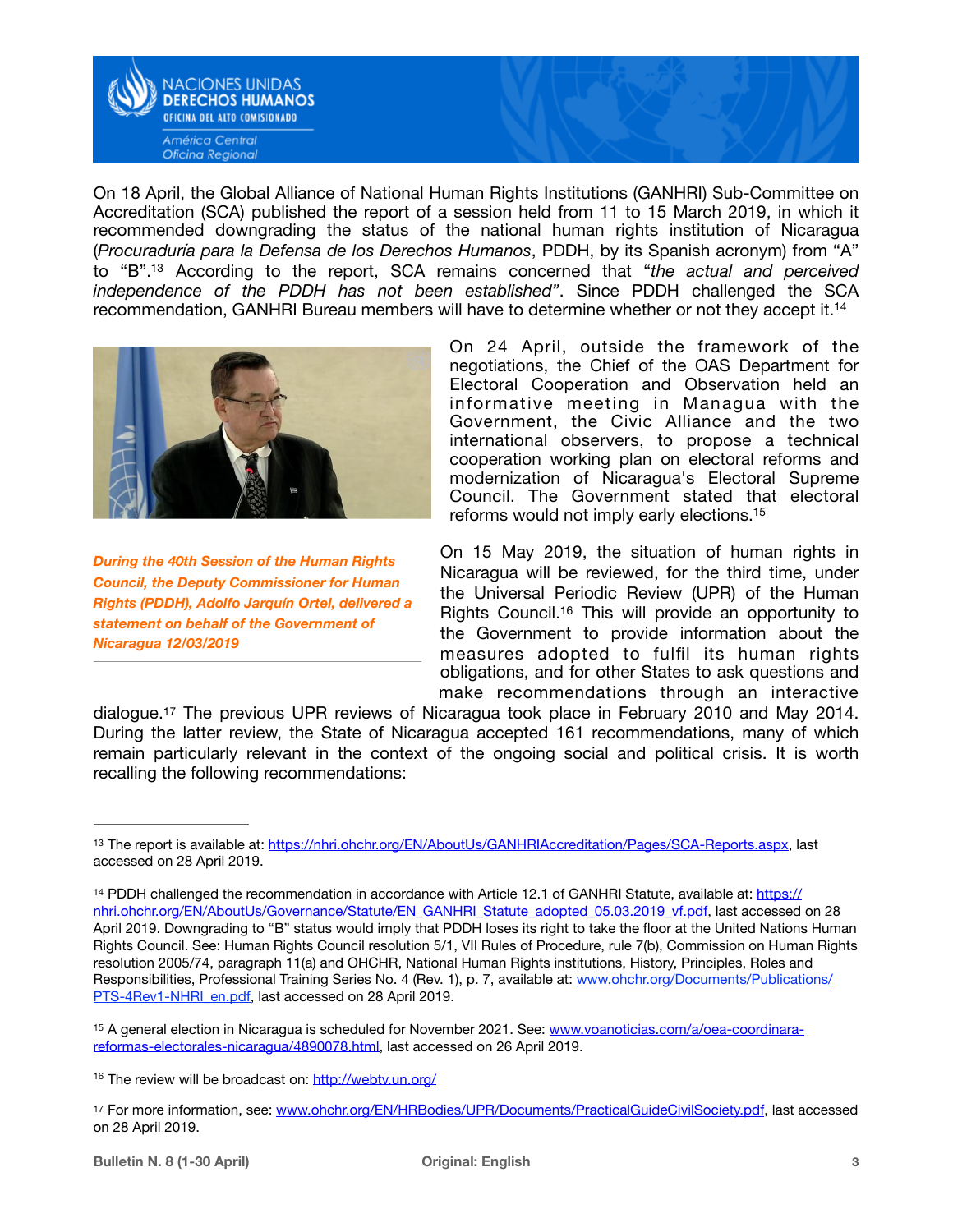

<span id="page-2-5"></span>On 18 April, the Global Alliance of National Human Rights Institutions (GANHRI) Sub-Committee on Accreditation (SCA) published the report of a session held from 11 to 15 March 2019, in which it recommended downgrading the status of the national human rights institution of Nicaragua (*Procuraduría para la Defensa de los Derechos Humanos*, PDDH, by its Spanish acronym) from "A" to "B"[.](#page-2-0)<sup>13</sup> According to the report, SCA remains concerned that "the actual and perceived *independence of the PDDH has not been established"*. Since PDDH challenged the SCA recommendation, GANHRI Bureau members will have to determine whether or not they accept it[.14](#page-2-1)



*During the 40th Session of the Human Rights Council, the Deputy Commissioner for Human Rights (PDDH), Adolfo Jarquín Ortel, delivered a statement on behalf of the Government of Nicaragua 12/03/2019* 

<span id="page-2-6"></span>On 24 April, outside the framework of the negotiations, the Chief of the OAS Department for Electoral Cooperation and Observation held an informative meeting in Managua with the Government, the Civic Alliance and the two international observers, to propose a technical cooperation working plan on electoral reforms and modernization of Nicaragua's Electoral Supreme Council. The Government stated that electoral reforms would not imply early elections[.15](#page-2-2)

<span id="page-2-8"></span><span id="page-2-7"></span>On 15 May 2019, the situation of human rights in Nicaragua will be reviewed, for the third time, under the Universal Periodic Review (UPR) of the Human Rights Council[.](#page-2-3)<sup>[16](#page-2-3)</sup> This will provide an opportunity to the Government to provide information about the measures adopted to fulfil its human rights obligations, and for other States to ask questions and make recommendations through an interactive

<span id="page-2-9"></span>dialogue[.17](#page-2-4) The previous UPR reviews of Nicaragua took place in February 2010 and May 2014. During the latter review, the State of Nicaragua accepted 161 recommendations, many of which remain particularly relevant in the context of the ongoing social and political crisis. It is worth recalling the following recommendations:

<span id="page-2-0"></span><sup>13</sup>The report is available at: [https://nhri.ohchr.org/EN/AboutUs/GANHRIAccreditation/Pages/SCA-Reports.aspx,](https://nhri.ohchr.org/EN/AboutUs/GANHRIAccreditation/Pages/SCA-Reports.aspx) last accessed on 28 April 2019.

<span id="page-2-1"></span><sup>&</sup>lt;sup>14</sup> PDDH challenged the recommendation in accordance with Article 12.1 of GANHRI Statute, available at: [https://](https://nhri.ohchr.org/EN/AboutUs/Governance/Statute/EN_GANHRI_Statute_adopted_05.03.2019_vf.pdf) [nhri.ohchr.org/EN/AboutUs/Governance/Statute/EN\\_GANHRI\\_Statute\\_adopted\\_05.03.2019\\_vf.pdf,](https://nhri.ohchr.org/EN/AboutUs/Governance/Statute/EN_GANHRI_Statute_adopted_05.03.2019_vf.pdf) last accessed on 28 April 2019. Downgrading to "B" status would imply that PDDH loses its right to take the floor at the United Nations Human Rights Council. See: Human Rights Council resolution 5/1, VII Rules of Procedure, rule 7(b), Commission on Human Rights resolution 2005/74, paragraph 11(a) and OHCHR, National Human Rights institutions, History, Principles, Roles and Responsibilities, Professional Training Series No. 4 (Rev. 1), p. 7, available at: [www.ohchr.org/Documents/Publications/](http://www.ohchr.org/Documents/Publications/PTS-4Rev1-NHRI_en.pdf) [PTS-4Rev1-NHRI\\_en.pdf](http://www.ohchr.org/Documents/Publications/PTS-4Rev1-NHRI_en.pdf), last accessed on 28 April 2019.

<span id="page-2-2"></span><sup>15</sup> A general election in Nicaragua is scheduled for November 2021. See: [www.voanoticias.com/a/oea-coordinara](http://www.voanoticias.com/a/oea-coordinara-reformas-electorales-nicaragua/4890078.html) [reformas-electorales-nicaragua/4890078.html,](http://www.voanoticias.com/a/oea-coordinara-reformas-electorales-nicaragua/4890078.html) last accessed on 26 April 2019.

<span id="page-2-3"></span><sup>&</sup>lt;sup>16</sup> The review will be broadcast on:<http://webtv.un.org/>

<span id="page-2-4"></span><sup>17</sup>For more information, see: [www.ohchr.org/EN/HRBodies/UPR/Documents/PracticalGuideCivilSociety.pdf](http://www.ohchr.org/EN/HRBodies/UPR/Documents/PracticalGuideCivilSociety.pdf), last accessed on 28 April 2019.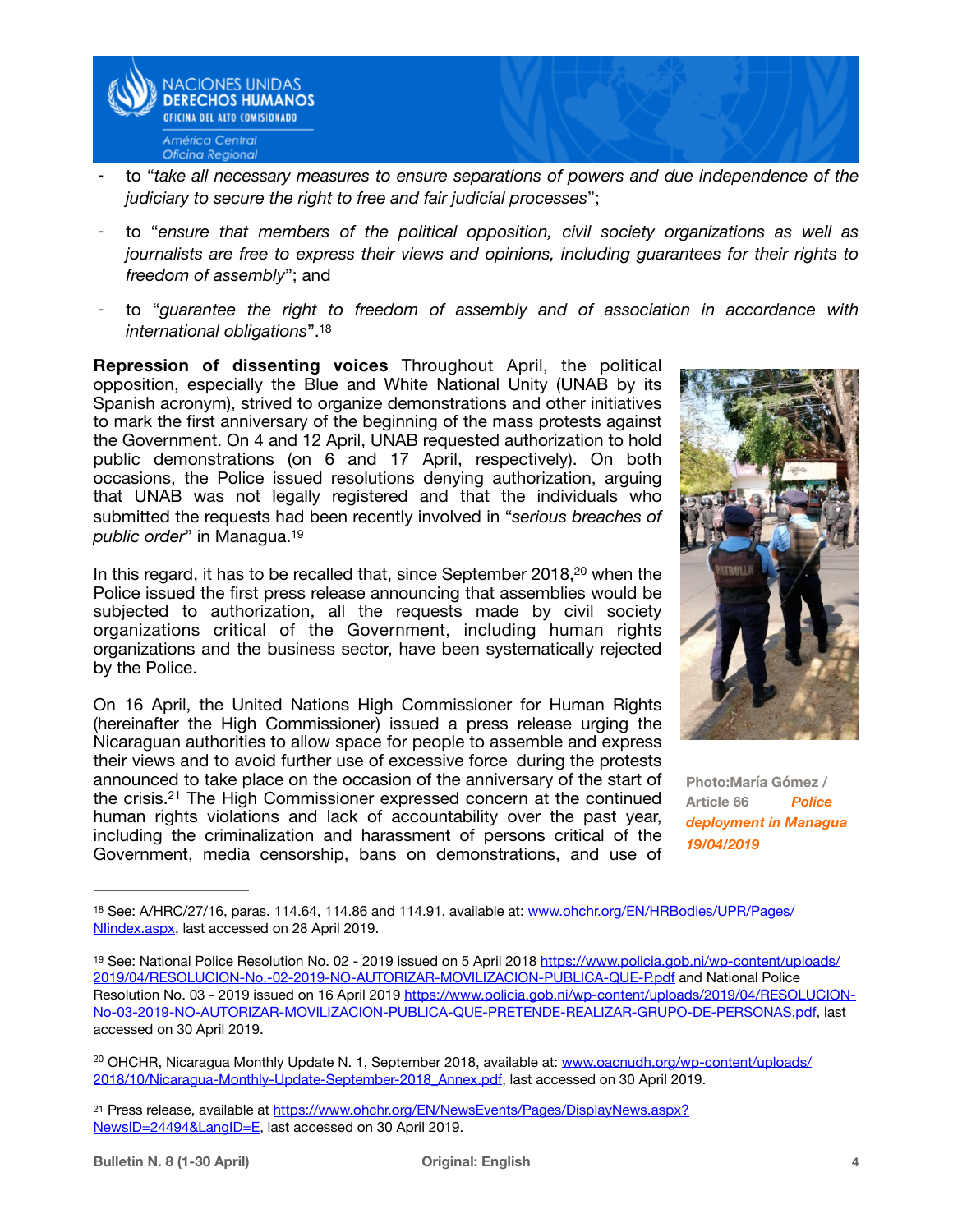

- to "take all necessary measures to ensure separations of powers and due independence of the *judiciary to secure the right to free and fair judicial processes*";
- to "*ensure that members of the political opposition, civil society organizations as well as journalists are free to express their views and opinions, including guarantees for their rights to freedom of assembly*"; and
- <span id="page-3-4"></span>to "guarantee the right to freedom of assembly and of association in accordance with *international obligations*"[.18](#page-3-0)

**Repression of dissenting voices** Throughout April, the political opposition, especially the Blue and White National Unity (UNAB by its Spanish acronym), strived to organize demonstrations and other initiatives to mark the first anniversary of the beginning of the mass protests against the Government. On 4 and 12 April, UNAB requested authorization to hold public demonstrations (on 6 and 17 April, respectively). On both occasions, the Police issued resolutions denying authorization, arguing that UNAB was not legally registered and that the individuals who submitted the requests had been recently involved in "*serious breaches of public order*" in Managua[.19](#page-3-1)

<span id="page-3-5"></span>In this regard[,](#page-3-2) it has to be recalled that, since September [20](#page-3-2)18,<sup>20</sup> when the Police issued the first press release announcing that assemblies would be subjected to authorization, all the requests made by civil society organizations critical of the Government, including human rights organizations and the business sector, have been systematically rejected by the Police.

<span id="page-3-7"></span>On 16 April, the United Nations High Commissioner for Human Rights (hereinafter the High Commissioner) issued a press release urging the Nicaraguan authorities to allow space for people to assemble and express their views and to avoid further use of excessive force during the protests announced to take place on the occasion of the anniversary of the start of the crisis[.](#page-3-3)<sup>[21](#page-3-3)</sup> The High Commissioner expressed concern at the continued human rights violations and lack of accountability over the past year, including the criminalization and harassment of persons critical of the Government, media censorship, bans on demonstrations, and use of

<span id="page-3-6"></span>

**Photo:María Gómez / Article 66** *Police deployment in Managua 19/04/2019* 

<span id="page-3-3"></span><sup>21</sup> Press release, available at [https://www.ohchr.org/EN/NewsEvents/Pages/DisplayNews.aspx?](https://www.ohchr.org/EN/NewsEvents/Pages/DisplayNews.aspx?NewsID=24494&LangID=E) [NewsID=24494&LangID=E,](https://www.ohchr.org/EN/NewsEvents/Pages/DisplayNews.aspx?NewsID=24494&LangID=E) last accessed on 30 April 2019.

<span id="page-3-0"></span><sup>18</sup> See: A/HRC/27/16, paras. 114.64, 114.86 and 114.91, available at: [www.ohchr.org/EN/HRBodies/UPR/Pages/](http://www.ohchr.org/EN/HRBodies/UPR/Pages/NIindex.aspx) [NIindex.aspx](http://www.ohchr.org/EN/HRBodies/UPR/Pages/NIindex.aspx), last accessed on 28 April 2019.

<span id="page-3-1"></span><sup>&</sup>lt;sup>19</sup> See: National Police Resolution No. 02 - 2019 issued on 5 April 2018 [https://www.policia.gob.ni/wp-content/uploads/](https://www.policia.gob.ni/wp-content/uploads/2019/04/RESOLUCION-No.-02-2019-NO-AUTORIZAR-MOVILIZACION-PUBLICA-QUE-P.pdf) [2019/04/RESOLUCION-No.-02-2019-NO-AUTORIZAR-MOVILIZACION-PUBLICA-QUE-P.pdf and National Police](https://www.policia.gob.ni/wp-content/uploads/2019/04/RESOLUCION-No.-02-2019-NO-AUTORIZAR-MOVILIZACION-PUBLICA-QUE-P.pdf)  Resolution No. 03 - 2019 issued on 16 April 2019 [https://www.policia.gob.ni/wp-content/uploads/2019/04/RESOLUCION-](https://www.policia.gob.ni/wp-content/uploads/2019/04/RESOLUCION-No-03-2019-NO-AUTORIZAR-MOVILIZACION-PUBLICA-QUE-PRETENDE-REALIZAR-GRUPO-DE-PERSONAS.pdf)[No-03-2019-NO-AUTORIZAR-MOVILIZACION-PUBLICA-QUE-PRETENDE-REALIZAR-GRUPO-DE-PERSONAS.pdf, last](https://www.policia.gob.ni/wp-content/uploads/2019/04/RESOLUCION-No-03-2019-NO-AUTORIZAR-MOVILIZACION-PUBLICA-QUE-PRETENDE-REALIZAR-GRUPO-DE-PERSONAS.pdf)  accessed on 30 April 2019.

<span id="page-3-2"></span><sup>&</sup>lt;sup>20</sup> OHCHR, Nicaragua Monthly Update N. 1, September 2018, available at: [www.oacnudh.org/wp-content/uploads/](http://www.oacnudh.org/wp-content/uploads/2018/10/Nicaragua-Monthly-Update-September-2018_Annex.pdf) [2018/10/Nicaragua-Monthly-Update-September-2018\\_Annex.pdf,](http://www.oacnudh.org/wp-content/uploads/2018/10/Nicaragua-Monthly-Update-September-2018_Annex.pdf) last accessed on 30 April 2019.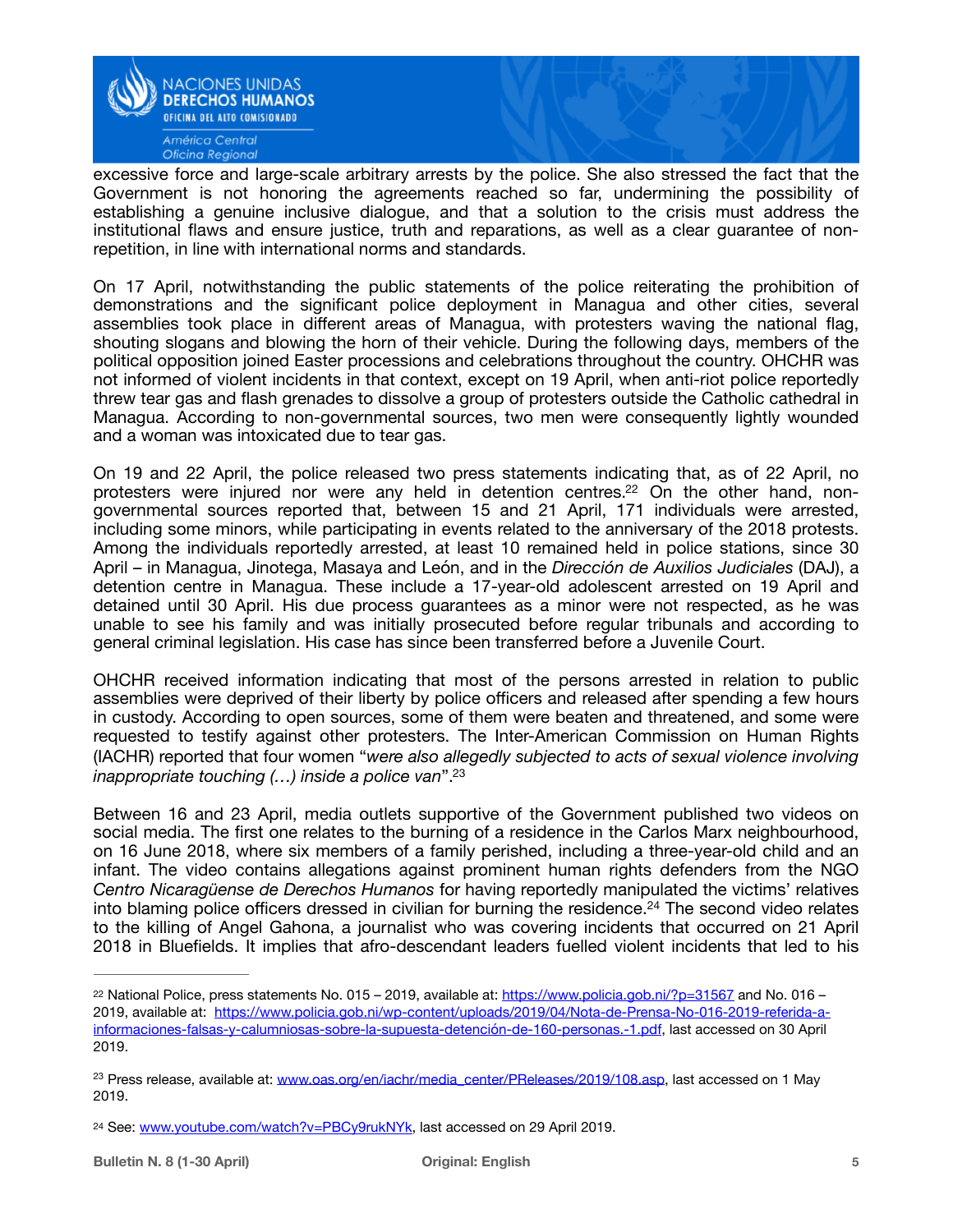

excessive force and large-scale arbitrary arrests by the police. She also stressed the fact that the Government is not honoring the agreements reached so far, undermining the possibility of establishing a genuine inclusive dialogue, and that a solution to the crisis must address the institutional flaws and ensure justice, truth and reparations, as well as a clear guarantee of nonrepetition, in line with international norms and standards.

On 17 April, notwithstanding the public statements of the police reiterating the prohibition of demonstrations and the significant police deployment in Managua and other cities, several assemblies took place in different areas of Managua, with protesters waving the national flag, shouting slogans and blowing the horn of their vehicle. During the following days, members of the political opposition joined Easter processions and celebrations throughout the country. OHCHR was not informed of violent incidents in that context, except on 19 April, when anti-riot police reportedly threw tear gas and flash grenades to dissolve a group of protesters outside the Catholic cathedral in Managua. According to non-governmental sources, two men were consequently lightly wounded and a woman was intoxicated due to tear gas.

<span id="page-4-3"></span>On 19 and 22 April, the police released two press statements indicating that, as of 22 April, no protesters were injured nor were any held in detention centres.<sup>22</sup> On the other hand, nongovernmental sources reported that, between 15 and 21 April, 171 individuals were arrested, including some minors, while participating in events related to the anniversary of the 2018 protests. Among the individuals reportedly arrested, at least 10 remained held in police stations, since 30 April – in Managua, Jinotega, Masaya and León, and in the *Dirección de Auxilios Judiciales* (DAJ), a detention centre in Managua. These include a 17-year-old adolescent arrested on 19 April and detained until 30 April. His due process guarantees as a minor were not respected, as he was unable to see his family and was initially prosecuted before regular tribunals and according to general criminal legislation. His case has since been transferred before a Juvenile Court.

OHCHR received information indicating that most of the persons arrested in relation to public assemblies were deprived of their liberty by police officers and released after spending a few hours in custody. According to open sources, some of them were beaten and threatened, and some were requested to testify against other protesters. The Inter-American Commission on Human Rights (IACHR) reported that four women "*were also allegedly subjected to acts of sexual violence involving inappropriate touching (…) inside a police van*"[.23](#page-4-1)

<span id="page-4-4"></span>Between 16 and 23 April, media outlets supportive of the Government published two videos on social media. The first one relates to the burning of a residence in the Carlos Marx neighbourhood, on 16 June 2018, where six members of a family perished, including a three-year-old child and an infant. The video contains allegations against prominent human rights defenders from the NGO *Centro Nicaragüense de Derechos Humanos* for having reportedly manipulated the victims' relatives into blaming police officers dressed in civilian for burning the residence[.](#page-4-2)<sup>[24](#page-4-2)</sup> The second video relates to the killing of Angel Gahona, a journalist who was covering incidents that occurred on 21 April 2018 in Bluefields. It implies that afro-descendant leaders fuelled violent incidents that led to his

<span id="page-4-5"></span><span id="page-4-0"></span><sup>&</sup>lt;sup>22</sup>National Police, press statements No. 015 – 2019, available at: <https://www.policia.gob.ni/?p=31567>and No. 016 – 2019, available at: [https://www.policia.gob.ni/wp-content/uploads/2019/04/Nota-de-Prensa-No-016-2019-referida-a](https://www.policia.gob.ni/wp-content/uploads/2019/04/Nota-de-Prensa-No-016-2019-referida-a-informaciones-falsas-y-calumniosas-sobre-la-supuesta-detenci%252525252525C3%252525252525B3n-de-160-personas.-1.pdf)[informaciones-falsas-y-calumniosas-sobre-la-supuesta-detención-de-160-personas.-1.pdf, last accessed on 30 April](https://www.policia.gob.ni/wp-content/uploads/2019/04/Nota-de-Prensa-No-016-2019-referida-a-informaciones-falsas-y-calumniosas-sobre-la-supuesta-detenci%252525252525C3%252525252525B3n-de-160-personas.-1.pdf)  2019.

<span id="page-4-1"></span><sup>&</sup>lt;sup>23</sup>Press release, available at: www.oas.org/en/jachr/media\_center/PReleases/2019/108.asp, last accessed on 1 May 2019.

<span id="page-4-2"></span><sup>24</sup> See: [www.youtube.com/watch?v=PBCy9rukNYk,](http://www.youtube.com/watch?v=PBCy9rukNYk) last accessed on 29 April 2019.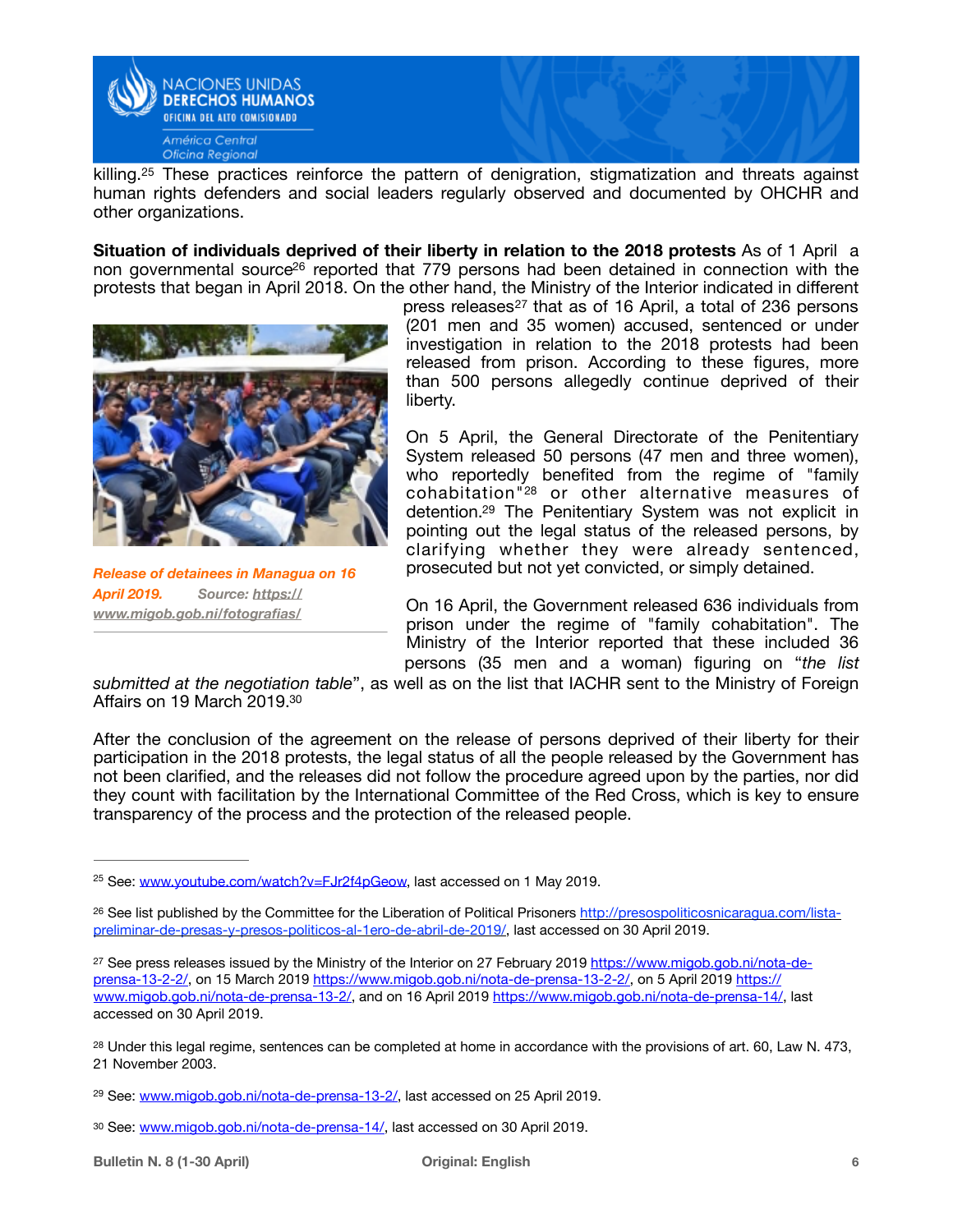

<span id="page-5-6"></span>killing.<sup>[25](#page-5-0)</sup> These practices reinforce the pattern of denigration, stigmatization and threats against human rights defenders and social leaders regularly observed and documented by OHCHR and other organizations.

**Situation of individuals deprived of their liberty in relation to the 2018 protests** As of 1 April a non governmental source<sup>[26](#page-5-1)</sup> reported that 779 persons had been detained in connection with the protests that began in April 2018. On the other hand, the Ministry of the Interior indicated in different



*Release of detainees in Managua on 16 [April 2019. Source: https://](https://www.migob.gob.ni/fotografias/) [www.migob.gob.ni/fotografias/](https://www.migob.gob.ni/fotografias/)*

<span id="page-5-8"></span><span id="page-5-7"></span>pressreleases $27$  that as of 16 April, a total of 236 persons (201 men and 35 women) accused, sentenced or under investigation in relation to the 2018 protests had been released from prison. According to these figures, more than 500 persons allegedly continue deprived of their liberty.

<span id="page-5-10"></span><span id="page-5-9"></span>On 5 April, the General Directorate of the Penitentiary System released 50 persons (47 men and three women), who reportedly benefited from the regime of "family  $cohabitation''<sup>28</sup>$  $cohabitation''<sup>28</sup>$  $cohabitation''<sup>28</sup>$ or other alternative measures of detention.<sup>[29](#page-5-4)</sup> The Penitentiary System was not explicit in pointing out the legal status of the released persons, by clarifying whether they were already sentenced, prosecuted but not yet convicted, or simply detained.

<span id="page-5-11"></span>On 16 April, the Government released 636 individuals from prison under the regime of "family cohabitation". The Ministry of the Interior reported that these included 36 persons (35 men and a woman) figuring on "*the list* 

*submitted at the negotiation table*", as well as on the list that IACHR sent to the Ministry of Foreign Affairs on 19 March 2019[.30](#page-5-5)

After the conclusion of the agreement on the release of persons deprived of their liberty for their participation in the 2018 protests, the legal status of all the people released by the Government has not been clarified, and the releases did not follow the procedure agreed upon by the parties, nor did they count with facilitation by the International Committee of the Red Cross, which is key to ensure transparency of the process and the protection of the released people.

<span id="page-5-0"></span><sup>&</sup>lt;sup>25</sup> See: [www.youtube.com/watch?v=FJr2f4pGeow](http://www.youtube.com/watch?v=FJr2f4pGeow), last accessed on 1 May 2019.

<span id="page-5-1"></span><sup>&</sup>lt;sup>26</sup> See list published by the Committee for the Liberation of Political Prisoners [http://presospoliticosnicaragua.com/lista](http://presospoliticosnicaragua.com/lista-preliminar-de-presas-y-presos-politicos-al-1ero-de-abril-de-2019/) [preliminar-de-presas-y-presos-politicos-al-1ero-de-abril-de-2019/](http://presospoliticosnicaragua.com/lista-preliminar-de-presas-y-presos-politicos-al-1ero-de-abril-de-2019/), last accessed on 30 April 2019.

<span id="page-5-2"></span><sup>&</sup>lt;sup>27</sup> See press releases issued by the Ministry of the Interior on 27 February 2019 [https://www.migob.gob.ni/nota-de](https://www.migob.gob.ni/nota-de-prensa-13-2-2/) [prensa-13-2-2/,](https://www.migob.gob.ni/nota-de-prensa-13-2-2/) on 15 March 2019 [https://www.migob.gob.ni/nota-de-prensa-13-2-2/,](https://www.migob.gob.ni/nota-de-prensa-13-2-2/) on 5 April 2019 [https://](https://www.migob.gob.ni/nota-de-prensa-13-2/) [www.migob.gob.ni/nota-de-prensa-13-2/,](https://www.migob.gob.ni/nota-de-prensa-13-2/) and on 16 April 2019 <https://www.migob.gob.ni/nota-de-prensa-14/>, last accessed on 30 April 2019.

<span id="page-5-3"></span><sup>&</sup>lt;sup>28</sup>Under this legal regime, sentences can be completed at home in accordance with the provisions of art. 60, Law N. 473, 21 November 2003.

<span id="page-5-4"></span><sup>&</sup>lt;sup>29</sup> See: [www.migob.gob.ni/nota-de-prensa-13-2/,](http://www.migob.gob.ni/nota-de-prensa-13-2/) last accessed on 25 April 2019.

<span id="page-5-5"></span><sup>30</sup> See: [www.migob.gob.ni/nota-de-prensa-14/](http://www.migob.gob.ni/nota-de-prensa-14/), last accessed on [30](#page-5-11) April 2019.